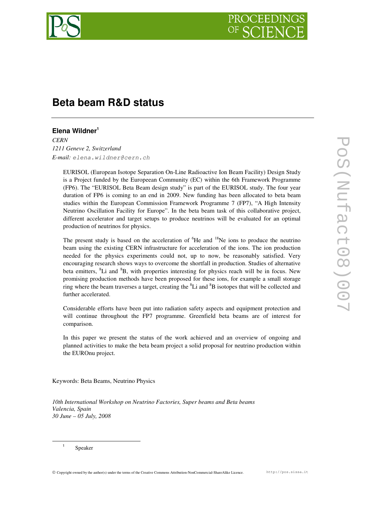

# **Beta beam R&D status**

# **Elena Wildner 1**

*CERN 1211 Geneve 2, Switzerland E-mail: elena.wildner@cern.ch*

> EURISOL (European Isotope Separation On-Line Radioactive Ion Beam Facility) Design Study is a Project funded by the Europeean Community (EC) within the 6th Framework Programme (FP6). The "EURISOL Beta Beam design study" is part of the EURISOL study. The four year duration of FP6 is coming to an end in 2009. New funding has been allocated to beta beam studies within the European Commission Framework Programme 7 (FP7), "A High Intensity Neutrino Oscillation Facility for Europe". In the beta beam task of this collaborative project, different accelerator and target setups to produce neutrinos will be evaluated for an optimal production of neutrinos for physics.

> The present study is based on the acceleration of <sup>6</sup>He and <sup>18</sup>Ne ions to produce the neutrino beam using the existing CERN infrastructure for acceleration of the ions. The ion production needed for the physics experiments could not, up to now, be reasonably satisfied. Very encouraging research shows ways to overcome the shortfall in production. Studies of alternative beta emitters, <sup>8</sup>Li and <sup>8</sup>B, with properties interesting for physics reach will be in focus. New promising production methods have been proposed for these ions, for example a small storage ring where the beam traverses a target, creating the  ${}^{8}$ Li and  ${}^{8}$ B isotopes that will be collected and further accelerated.

> Considerable efforts have been put into radiation safety aspects and equipment protection and will continue throughout the FP7 programme. Greenfield beta beams are of interest for comparison.

> In this paper we present the status of the work achieved and an overview of ongoing and planned activities to make the beta beam project a solid proposal for neutrino production within the EUROnu project.

Keywords: Beta Beams, Neutrino Physics

*10th International Workshop on Neutrino Factories, Super beams and Beta beams Valencia, Spain 30 June – 05 July, 2008*

Speaker

1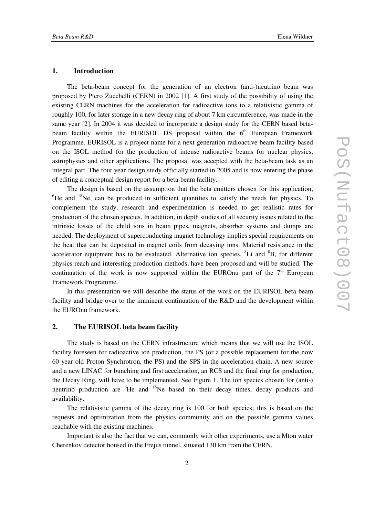#### **1. Introduction**

The beta-beam concept for the generation of an electron (anti-)neutrino beam was proposed by Piero Zucchelli (CERN) in 2002 [1]. A first study of the possibility of using the existing CERN machines for the acceleration for radioactive ions to a relativistic gamma of roughly 100, for later storage in a new decay ring of about 7 km circumference, was made in the same year [2]. In 2004 it was decided to incorporate a design study for the CERN based betabeam facility within the EURISOL DS proposal within the  $6<sup>th</sup>$  European Framework Programme. EURISOL is a project name for a next-generation radioactive beam facility based on the ISOL method for the production of intense radioactive beams for nuclear physics, astrophysics and other applications. The proposal was accepted with the beta-beam task as an integral part. The four year design study officially started in 2005 and is now entering the phase of editing a conceptual design report for a beta-beam facility.

The design is based on the assumption that the beta emitters chosen for this application,  ${}^{6}$ He and  ${}^{18}$ Ne, can be produced in sufficient quantities to satisfy the needs for physics. To complement the study, research and experimentation is needed to get realistic rates for production of the chosen species. In addition, in depth studies of all security issues related to the intrinsic losses of the child ions in beam pipes, magnets, absorber systems and dumps are needed. The deployment of superconducting magnet technology implies special requirements on the heat that can be deposited in magnet coils from decaying ions. Material resistance in the accelerator equipment has to be evaluated. Alternative ion species, <sup>8</sup>Li and <sup>8</sup>B, for different physics reach and interesting production methods, have been proposed and will be studied. The continuation of the work is now supported within the EUROnu part of the  $7<sup>th</sup>$  European Framework Programme.

In this presentation we will describe the status of the work on the EURISOL beta beam facility and bridge over to the imminent continuation of the R&D and the development within the EUROnu framework.

### **2. The EURISOL beta beam facility**

The study is based on the CERN infrastructure which means that we will use the ISOL facility foreseen for radioactive ion production, the PS (or a possible replacement for the now 60 year old Proton Synchrotron, the PS) and the SPS in the acceleration chain. A new source and a new LINAC for bunching and first acceleration, an RCS and the final ring for production, the Decay Ring, will have to be implemented. See Figure 1. The ion species chosen for (anti-) neutrino production are <sup>6</sup>He and <sup>18</sup>Ne based on their decay times, decay products and availability.

The relativistic gamma of the decay ring is 100 for both species; this is based on the requests and optimization from the physics community and on the possible gamma values reachable with the existing machines.

Important is also the fact that we can, commonly with other experiments, use a Mton water Cherenkov detector housed in the Frejus tunnel, situated 130 km from the CERN.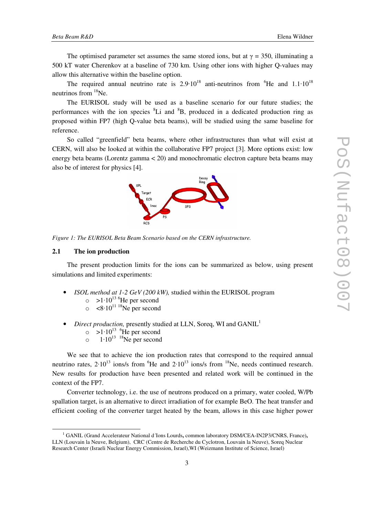The optimised parameter set assumes the same stored ions, but at  $\gamma = 350$ , illuminating a 500 kT water Cherenkov at a baseline of 730 km. Using other ions with higher Q-values may allow this alternative within the baseline option.

The required annual neutrino rate is  $2.9 \cdot 10^{18}$  anti-neutrinos from  ${}^{6}$ He and  $1.1 \cdot 10^{18}$ neutrinos from <sup>18</sup>Ne.

The EURISOL study will be used as a baseline scenario for our future studies; the performances with the ion species <sup>8</sup>Li and <sup>8</sup>B, produced in a dedicated production ring as proposed within FP7 (high Q-value beta beams), will be studied using the same baseline for reference.

So called "greenfield" beta beams, where other infrastructures than what will exist at CERN, will also be looked at within the collaborative FP7 project [3]. More options exist: low energy beta beams (Lorentz gamma  $\lt 20$ ) and monochromatic electron capture beta beams may also be of interest for physics [4].



*Figure 1: The EURISOL Beta Beam Scenario based on the CERN infrastructure.*

## **2.1 The ion production**

The present production limits for the ions can be summarized as below, using present simulations and limited experiments:

- *ISOL method at 1-2 GeV (200 kW),* studied within the EURISOL program
	- $\circ$  >1·10<sup>13 6</sup>He per second
	- $\circ$  <8.10<sup>11 18</sup>Ne per second
- *Direct production*, presently studied at LLN, Soreq, WI and GANIL<sup>1</sup>
	- $\circ$  >1.10<sup>13</sup> <sup>6</sup>He per second
	- $\circ$  1.10<sup>13</sup> <sup>18</sup>Ne per second

We see that to achieve the ion production rates that correspond to the required annual neutrino rates,  $2.10^{13}$  ions/s from  ${}^{6}$ He and  $2.10^{13}$  ions/s from  ${}^{18}$ Ne, needs continued research. New results for production have been presented and related work will be continued in the context of the FP7.

Converter technology, i.e. the use of neutrons produced on a primary, water cooled, W/Pb spallation target, is an alternative to direct irradiation of for example BeO. The heat transfer and efficient cooling of the converter target heated by the beam, allows in this case higher power

<sup>1</sup> GANIL (Grand Accelerateur National d´Ions Lourds**,** common laboratory DSM/CEA-IN2P3/CNRS, France)**,** LLN (Louvain la Neuve, Belgium), CRC (Centre de Recherche du Cyclotron, Louvain la Neuve), Soreq Nuclear Research Center (Israeli Nuclear Energy Commission, Israel),WI (Weizmann Institute of Science, Israel)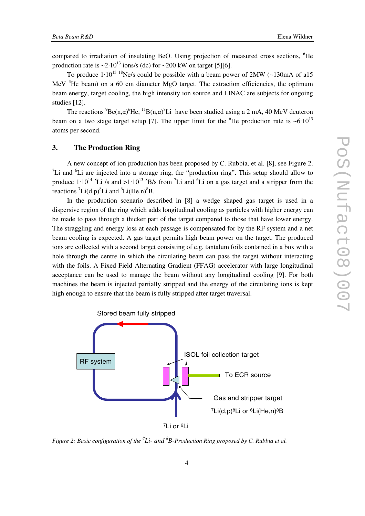compared to irradiation of insulating BeO. Using projection of measured cross sections, <sup>6</sup>He production rate is  $\sim 2.10^{13}$  ions/s (dc) for  $\sim 200$  kW on target [5][6].

To produce  $1 \cdot 10^{13}$  <sup>18</sup>Ne/s could be possible with a beam power of 2MW (~130mA of a15 MeV  $3$ He beam) on a 60 cm diameter MgO target. The extraction efficiencies, the optimum beam energy, target cooling, the high intensity ion source and LINAC are subjects for ongoing studies [12].

The reactions  ${}^{9}Be(n,\alpha) {}^{6}He$ ,  ${}^{11}B(n,\alpha) {}^{8}Li$  have been studied using a 2 mA, 40 MeV deuteron beam on a two stage target setup [7]. The upper limit for the  ${}^{6}$ He production rate is  $~10^{13}$ atoms per second.

# **3. The Production Ring**

A new concept of ion production has been proposed by C. Rubbia, et al. [8], see Figure 2. <sup>7</sup>Li and  ${}^{6}$ Li are injected into a storage ring, the "production ring". This setup should allow to produce  $1 \cdot 10^{14}$   ${}^{8}$ Li /s and  $>1 \cdot 10^{13}$   ${}^{8}$ B/s from <sup>7</sup>Li and <sup>6</sup>Li on a gas target and a stripper from the reactions  ${}^{7}Li(d,p){}^{8}Li$  and  ${}^{6}Li(He,n){}^{8}B$ .

In the production scenario described in [8] a wedge shaped gas target is used in a dispersive region of the ring which adds longitudinal cooling as particles with higher energy can be made to pass through a thicker part of the target compared to those that have lower energy. The straggling and energy loss at each passage is compensated for by the RF system and a net beam cooling is expected. A gas target permits high beam power on the target. The produced ions are collected with a second target consisting of e.g. tantalum foils contained in a box with a hole through the centre in which the circulating beam can pass the target without interacting with the foils. A Fixed Field Alternating Gradient (FFAG) accelerator with large longitudinal acceptance can be used to manage the beam without any longitudinal cooling [9]. For both machines the beam is injected partially stripped and the energy of the circulating ions is kept high enough to ensure that the beam is fully stripped after target traversal.



Figure 2: Basic configuration of the  ${}^{8}$ Li- and  ${}^{8}$ B-Production Ring proposed by C. Rubbia et al.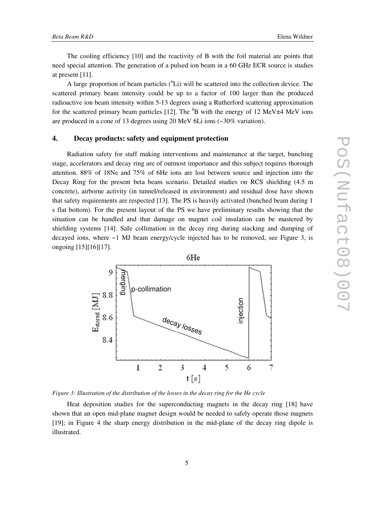The cooling efficiency [10] and the reactivity of B with the foil material are points that need special attention. The generation of a pulsed ion beam in a 60 GHz ECR source is studies at present [11].

A large proportion of beam particles  $({}^{6}Li)$  will be scattered into the collection device. The scattered primary beam intensity could be up to a factor of 100 larger than the produced radioactive ion beam intensity within 5-13 degrees using a Rutherford scattering approximation for the scattered primary beam particles [12]. The  ${}^{8}B$  with the energy of 12 MeV $\pm$ 4 MeV ions are produced in a cone of 13 degrees using 20 MeV 6Li ions (~30% variation).

### **4. Decay products: safety and equipment protection**

Radiation safety for staff making interventions and maintenance at the target, bunching stage, accelerators and decay ring are of outmost importance and this subject requires thorough attention. 88% of 18Ne and 75% of 6He ions are lost between source and injection into the Decay Ring for the present beta beam scenario. Detailed studies on RCS shielding (4.5 m concrete), airborne activity (in tunnel/released in environment) and residual dose have shown that safety requirements are respected [13]. The PS is heavily activated (bunched beam during 1 s flat bottom). For the present layout of the PS we have preliminary results showing that the situation can be handled and that damage on magnet coil insulation can be mastered by shielding systems [14]. Safe collimation in the decay ring during stacking and dumping of decayed ions, where ~1 MJ beam energy/cycle injected has to be removed, see Figure 3, is ongoing [15][16][17].



*Figure 3: Illustration of the distribution of the losses in the decay ring for the He cycle*

Heat deposition studies for the superconducting magnets in the decay ring [18] have shown that an open mid-plane magnet design would be needed to safely operate those magnets [19]; in Figure 4 the sharp energy distribution in the mid-plane of the decay ring dipole is illustrated.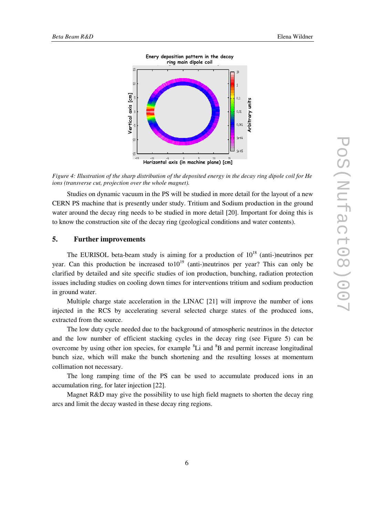

Figure 4: Illustration of the sharp distribution of the deposited energy in the decay ring dipole coil for He *ions (transverse cut, projection over the whole magnet).*

Studies on dynamic vacuum in the PS will be studied in more detail for the layout of a new CERN PS machine that is presently under study. Tritium and Sodium production in the ground water around the decay ring needs to be studied in more detail [20]. Important for doing this is to know the construction site of the decay ring (geological conditions and water contents).

## **5. Further improvements**

The EURISOL beta-beam study is aiming for a production of  $10^{18}$  (anti-)neutrinos per year. Can this production be increased to  $10^{19}$  (anti-)neutrinos per year? This can only be clarified by detailed and site specific studies of ion production, bunching, radiation protection issues including studies on cooling down times for interventions tritium and sodium production in ground water.

Multiple charge state acceleration in the LINAC [21] will improve the number of ions injected in the RCS by accelerating several selected charge states of the produced ions, extracted from the source.

The low duty cycle needed due to the background of atmospheric neutrinos in the detector and the low number of efficient stacking cycles in the decay ring (see Figure 5) can be overcome by using other ion species, for example <sup>8</sup>Li and <sup>8</sup>B and permit increase longitudinal bunch size, which will make the bunch shortening and the resulting losses at momentum collimation not necessary.

The long ramping time of the PS can be used to accumulate produced ions in an accumulation ring, for later injection [22].

Magnet R&D may give the possibility to use high field magnets to shorten the decay ring arcs and limit the decay wasted in these decay ring regions.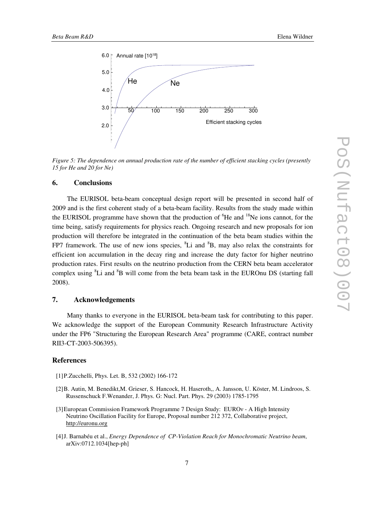

*Figure 5: The dependence on annual production rate of the number of efficient stacking cycles (presently 15 for He and 20 for Ne)*

#### **6. Conclusions**

The EURISOL beta-beam conceptual design report will be presented in second half of 2009 and is the first coherent study of a beta-beam facility. Results from the study made within the EURISOL programme have shown that the production of  ${}^{6}$ He and  ${}^{18}$ Ne ions cannot, for the time being, satisfy requirements for physics reach. Ongoing research and new proposals for ion production will therefore be integrated in the continuation of the beta beam studies within the FP7 framework. The use of new ions species, <sup>8</sup>Li and <sup>8</sup>B, may also relax the constraints for efficient ion accumulation in the decay ring and increase the duty factor for higher neutrino production rates. First results on the neutrino production from the CERN beta beam accelerator complex using <sup>8</sup>Li and <sup>8</sup>B will come from the beta beam task in the EUROnu DS (starting fall 2008).

## **7. Acknowledgements**

Many thanks to everyone in the EURISOL beta-beam task for contributing to this paper. We acknowledge the support of the European Community Research Infrastructure Activity under the FP6 "Structuring the European Research Area" programme (CARE, contract number RII3-CT-2003-506395).

#### **References**

- [1]P.Zucchelli, Phys. Let. B, 532 (2002) 166-172
- [2]B. Autin, M. Benedikt,M. Grieser, S. Hancock, H. Haseroth,, A. Jansson, U. Köster, M. Lindroos, S. Russenschuck F.Wenander, J. Phys. G: Nucl. Part. Phys. 29 (2003) 1785-1795
- [3] European Commission Framework Programme 7 Design Study: EURO  $v$  A High Intensity Neutrino Oscillation Facility for Europe, Proposal number 212 372, Collaborative project, http://euronu.org
- [4]J. Barnabéu et al., *Energy Dependence of CP-Violation Reach for Monochromatic Neutrino beam*, arXiv:0712.1034[hep-ph]